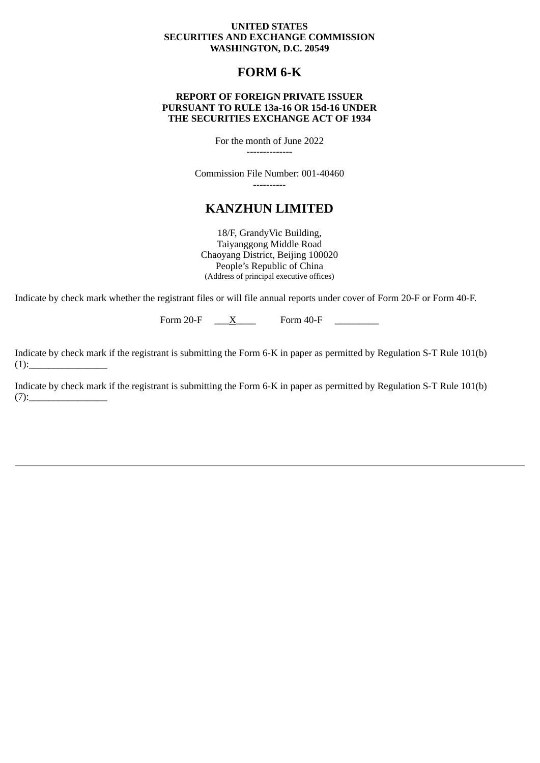### **UNITED STATES SECURITIES AND EXCHANGE COMMISSION WASHINGTON, D.C. 20549**

## **FORM 6-K**

### **REPORT OF FOREIGN PRIVATE ISSUER PURSUANT TO RULE 13a-16 OR 15d-16 UNDER THE SECURITIES EXCHANGE ACT OF 1934**

For the month of June 2022

--------------

Commission File Number: 001-40460 ----------

# **KANZHUN LIMITED**

18/F, GrandyVic Building, Taiyanggong Middle Road Chaoyang District, Beijing 100020 People's Republic of China (Address of principal executive offices)

Indicate by check mark whether the registrant files or will file annual reports under cover of Form 20-F or Form 40-F.

Form 20-F  $\quad \underline{X}$  Form 40-F

Indicate by check mark if the registrant is submitting the Form 6-K in paper as permitted by Regulation S-T Rule 101(b)  $(1):$ 

Indicate by check mark if the registrant is submitting the Form 6-K in paper as permitted by Regulation S-T Rule 101(b)  $(7):$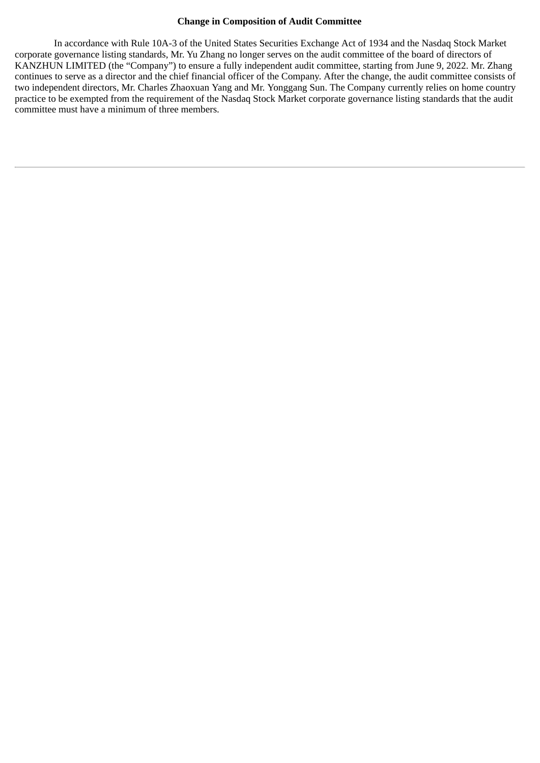### **Change in Composition of Audit Committee**

In accordance with Rule 10A-3 of the United States Securities Exchange Act of 1934 and the Nasdaq Stock Market corporate governance listing standards, Mr. Yu Zhang no longer serves on the audit committee of the board of directors of KANZHUN LIMITED (the "Company") to ensure a fully independent audit committee, starting from June 9, 2022. Mr. Zhang continues to serve as a director and the chief financial officer of the Company. After the change, the audit committee consists of two independent directors, Mr. Charles Zhaoxuan Yang and Mr. Yonggang Sun. The Company currently relies on home country practice to be exempted from the requirement of the Nasdaq Stock Market corporate governance listing standards that the audit committee must have a minimum of three members.